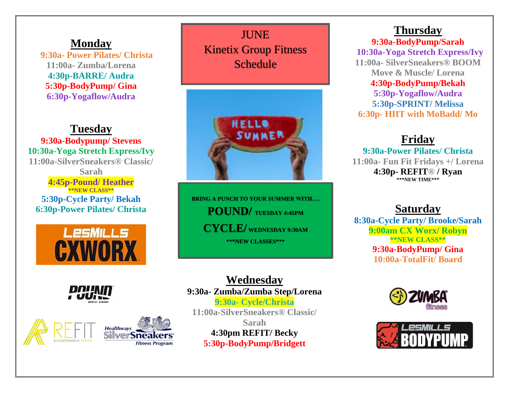# **Monday**

 **9:30a- Power Pilates/ Christa 11:00a- Zumba/Lorena 4:30p-BARRE/ Audra 5:30p-BodyPump/ Gina 6:30p-Yogaflow/Audra**

# **Tuesday**

**9:30a-Bodypump/ Stevens 10:30a-Yoga Stretch Express/Ivy 11:00a-SilverSneakers® Classic/ Sarah 4:45p-Pound/ Heather \*\*NEW CLASS\*\* 5:30p-Cycle Party/ Bekah 6:30p-Power Pilates/ Christa**







**JUNE** Kinetix Group Fitness Schedule



**BRING A PUNCH TO YOUR SUMMER WITH…. POUND/ TUESDAY 4:45PM CYCLE/ WEDNESDAY 9:30AM \*\*\*NEW CLASSES\*\*\***

**Wednesday 9:30a- Zumba/Zumba Step/Lorena 9:30a- Cycle/Christa 11:00a-SilverSneakers® Classic/ Sarah 4:30pm REFIT/ Becky 5:30p-BodyPump/Bridgett**

# **Thursday**

**9:30a-BodyPump/Sarah 10:30a-Yoga Stretch Express/Ivy 11:00a- SilverSneakers® BOOM Move & Muscle/ Lorena 4:30p-BodyPump/Bekah 5:30p-Yogaflow/Audra 5:30p-SPRINT/ Melissa 6:30p- HIIT with MoBadd/ Mo**

# **Friday**

**9:30a-Power Pilates/ Christa 11:00a- Fun Fit Fridays +/ Lorena 4:30p- REFIT® / Ryan \*\*\*NEW TIME\*\*\***

# **Saturday**

**8:30a-Cycle Party/ Brooke/Sarah 9:00am CX Worx/ Robyn \*\*NEW CLASS\*\* 9:30a-BodyPump/ Gina 10:00a-TotalFit/ Board**